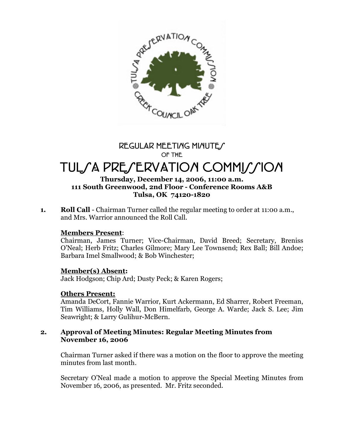

# **REGULAR MEETING MINUTES OF THE**

# TUL*SA PRESERVATION COMMISSION*

# **Thursday, December 14, 2006, 11:00 a.m. 111 South Greenwood, 2nd Floor - Conference Rooms A&B Tulsa, OK 74120-1820**

**1. Roll Call** - Chairman Turner called the regular meeting to order at 11:00 a.m., and Mrs. Warrior announced the Roll Call.

# **Members Present**:

Chairman, James Turner; Vice-Chairman, David Breed; Secretary, Breniss O'Neal; Herb Fritz; Charles Gilmore; Mary Lee Townsend; Rex Ball; Bill Andoe; Barbara Imel Smallwood; & Bob Winchester;

# **Member(s) Absent:**

Jack Hodgson; Chip Ard; Dusty Peck; & Karen Rogers;

# **Others Present:**

Amanda DeCort, Fannie Warrior, Kurt Ackermann, Ed Sharrer, Robert Freeman, Tim Williams, Holly Wall, Don Himelfarb, George A. Warde; Jack S. Lee; Jim Seawright; & Larry Gulihur-McBern.

#### **2. Approval of Meeting Minutes: Regular Meeting Minutes from November 16, 2006**

Chairman Turner asked if there was a motion on the floor to approve the meeting minutes from last month.

Secretary O'Neal made a motion to approve the Special Meeting Minutes from November 16, 2006, as presented. Mr. Fritz seconded.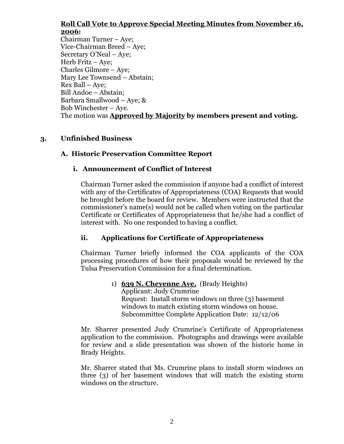# **Roll Call Vote to Approve Special Meeting Minutes from November 16, 2006:**

Chairman Turner – Aye; Vice-Chairman Breed – Aye; Secretary O'Neal – Aye; Herb Fritz – Aye; Charles Gilmore – Aye; Mary Lee Townsend – Abstain; Rex Ball – Aye; Bill Andoe – Abstain; Barbara Smallwood – Aye; & Bob Winchester – Aye. The motion was **Approved by Majority by members present and voting.**

# **3. Unfinished Business**

# **A. Historic Preservation Committee Report**

# **i. Announcement of Conflict of Interest**

Chairman Turner asked the commission if anyone had a conflict of interest with any of the Certificates of Appropriateness (COA) Requests that would be brought before the board for review. Members were instructed that the commissioner's name(s) would not be called when voting on the particular Certificate or Certificates of Appropriateness that he/she had a conflict of interest with. No one responded to having a conflict.

# **ii. Applications for Certificate of Appropriateness**

Chairman Turner briefly informed the COA applicants of the COA processing procedures of how their proposals would be reviewed by the Tulsa Preservation Commission for a final determination.

> 1) **639 N. Cheyenne Ave.** (Brady Heights) Applicant: Judy Crumrine Request: Install storm windows on three (3) basement windows to match existing storm windows on house. Subcommittee Complete Application Date: 12/12/06

Mr. Sharrer presented Judy Crumrine's Certificate of Appropriateness application to the commission. Photographs and drawings were available for review and a slide presentation was shown of the historic home in Brady Heights.

Mr. Sharrer stated that Ms. Crumrine plans to install storm windows on three (3) of her basement windows that will match the existing storm windows on the structure.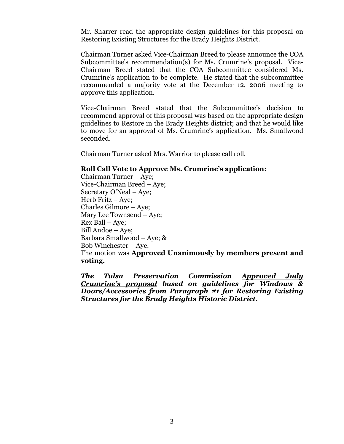Mr. Sharrer read the appropriate design guidelines for this proposal on Restoring Existing Structures for the Brady Heights District.

Chairman Turner asked Vice-Chairman Breed to please announce the COA Subcommittee's recommendation(s) for Ms. Crumrine's proposal. Vice-Chairman Breed stated that the COA Subcommittee considered Ms. Crumrine's application to be complete. He stated that the subcommittee recommended a majority vote at the December 12, 2006 meeting to approve this application.

Vice-Chairman Breed stated that the Subcommittee's decision to recommend approval of this proposal was based on the appropriate design guidelines to Restore in the Brady Heights district; and that he would like to move for an approval of Ms. Crumrine's application. Ms. Smallwood seconded.

Chairman Turner asked Mrs. Warrior to please call roll.

#### **Roll Call Vote to Approve Ms. Crumrine's application:**

Chairman Turner – Aye; Vice-Chairman Breed – Aye; Secretary O'Neal – Aye; Herb Fritz – Aye; Charles Gilmore – Aye; Mary Lee Townsend – Aye; Rex Ball – Aye; Bill Andoe – Aye; Barbara Smallwood – Aye; & Bob Winchester – Aye. The motion was **Approved Unanimously by members present and voting.**

*The Tulsa Preservation Commission Approved Judy Crumrine's proposal based on guidelines for Windows & Doors/Accessories from Paragraph #1 for Restoring Existing Structures for the Brady Heights Historic District.*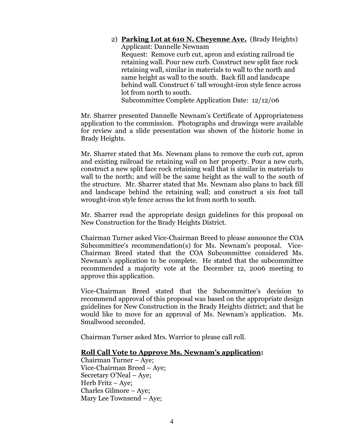2) **Parking Lot at 610 N. Cheyenne Ave.** (Brady Heights) Applicant: Dannelle Newnam Request: Remove curb cut, apron and existing railroad tie retaining wall. Pour new curb. Construct new split face rock retaining wall, similar in materials to wall to the north and same height as wall to the south. Back fill and landscape behind wall. Construct 6' tall wrought-iron style fence across lot from north to south.

Subcommittee Complete Application Date: 12/12/06

Mr. Sharrer presented Dannelle Newnam's Certificate of Appropriateness application to the commission. Photographs and drawings were available for review and a slide presentation was shown of the historic home in Brady Heights.

Mr. Sharrer stated that Ms. Newnam plans to remove the curb cut, apron and existing railroad tie retaining wall on her property. Pour a new curb, construct a new split face rock retaining wall that is similar in materials to wall to the north; and will be the same height as the wall to the south of the structure. Mr. Sharrer stated that Ms. Newnam also plans to back fill and landscape behind the retaining wall; and construct a six foot tall wrought-iron style fence across the lot from north to south.

Mr. Sharrer read the appropriate design guidelines for this proposal on New Construction for the Brady Heights District.

Chairman Turner asked Vice-Chairman Breed to please announce the COA Subcommittee's recommendation(s) for Ms. Newnam's proposal. Vice-Chairman Breed stated that the COA Subcommittee considered Ms. Newnam's application to be complete. He stated that the subcommittee recommended a majority vote at the December 12, 2006 meeting to approve this application.

Vice-Chairman Breed stated that the Subcommittee's decision to recommend approval of this proposal was based on the appropriate design guidelines for New Construction in the Brady Heights district; and that he would like to move for an approval of Ms. Newnam's application. Ms. Smallwood seconded.

Chairman Turner asked Mrs. Warrior to please call roll.

#### **Roll Call Vote to Approve Ms. Newnam's application:**

Chairman Turner – Aye; Vice-Chairman Breed – Aye; Secretary O'Neal – Aye; Herb Fritz – Aye; Charles Gilmore – Aye; Mary Lee Townsend – Aye;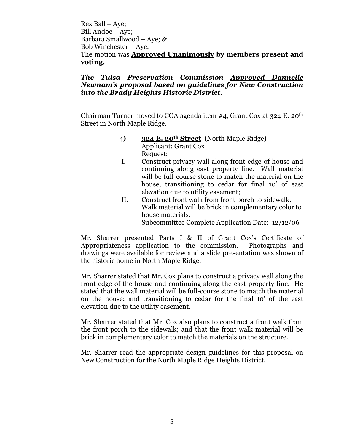Rex Ball – Aye; Bill Andoe – Aye; Barbara Smallwood – Aye; & Bob Winchester – Aye. The motion was **Approved Unanimously by members present and voting.**

#### *The Tulsa Preservation Commission Approved Dannelle Newnam's proposal based on guidelines for New Construction into the Brady Heights Historic District.*

Chairman Turner moved to COA agenda item  $#4$ , Grant Cox at 324 E. 20<sup>th</sup> Street in North Maple Ridge.

- 4**) 324 E. 20th Street** (North Maple Ridge) Applicant: Grant Cox Request:
- I. Construct privacy wall along front edge of house and continuing along east property line. Wall material will be full-course stone to match the material on the house, transitioning to cedar for final 10' of east elevation due to utility easement;
- II. Construct front walk from front porch to sidewalk. Walk material will be brick in complementary color to house materials. Subcommittee Complete Application Date: 12/12/06

Mr. Sharrer presented Parts I & II of Grant Cox's Certificate of Appropriateness application to the commission. Photographs and drawings were available for review and a slide presentation was shown of the historic home in North Maple Ridge.

Mr. Sharrer stated that Mr. Cox plans to construct a privacy wall along the front edge of the house and continuing along the east property line. He stated that the wall material will be full-course stone to match the material on the house; and transitioning to cedar for the final 10' of the east elevation due to the utility easement.

Mr. Sharrer stated that Mr. Cox also plans to construct a front walk from the front porch to the sidewalk; and that the front walk material will be brick in complementary color to match the materials on the structure.

Mr. Sharrer read the appropriate design guidelines for this proposal on New Construction for the North Maple Ridge Heights District.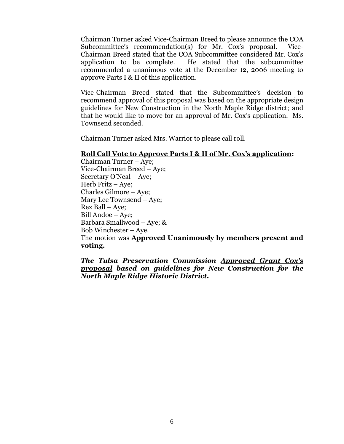Chairman Turner asked Vice-Chairman Breed to please announce the COA Subcommittee's recommendation(s) for Mr. Cox's proposal. Vice-Chairman Breed stated that the COA Subcommittee considered Mr. Cox's application to be complete. He stated that the subcommittee recommended a unanimous vote at the December 12, 2006 meeting to approve Parts I & II of this application.

Vice-Chairman Breed stated that the Subcommittee's decision to recommend approval of this proposal was based on the appropriate design guidelines for New Construction in the North Maple Ridge district; and that he would like to move for an approval of Mr. Cox's application. Ms. Townsend seconded.

Chairman Turner asked Mrs. Warrior to please call roll.

#### **Roll Call Vote to Approve Parts I & II of Mr. Cox's application:**

Chairman Turner – Aye; Vice-Chairman Breed – Aye; Secretary O'Neal – Aye; Herb Fritz – Aye; Charles Gilmore – Aye; Mary Lee Townsend – Aye; Rex Ball – Aye; Bill Andoe – Aye; Barbara Smallwood – Aye; & Bob Winchester – Aye. The motion was **Approved Unanimously by members present and voting.**

*The Tulsa Preservation Commission Approved Grant Cox's proposal based on guidelines for New Construction for the North Maple Ridge Historic District.*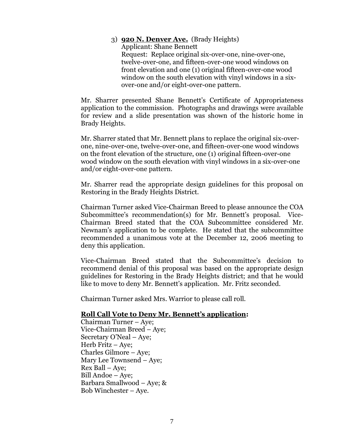#### 3) **920 N. Denver Ave.** (Brady Heights) Applicant: Shane Bennett Request: Replace original six-over-one, nine-over-one, twelve-over-one, and fifteen-over-one wood windows on front elevation and one (1) original fifteen-over-one wood window on the south elevation with vinyl windows in a sixover-one and/or eight-over-one pattern.

Mr. Sharrer presented Shane Bennett's Certificate of Appropriateness application to the commission. Photographs and drawings were available for review and a slide presentation was shown of the historic home in Brady Heights.

Mr. Sharrer stated that Mr. Bennett plans to replace the original six-overone, nine-over-one, twelve-over-one, and fifteen-over-one wood windows on the front elevation of the structure, one (1) original fifteen-over-one wood window on the south elevation with vinyl windows in a six-over-one and/or eight-over-one pattern.

Mr. Sharrer read the appropriate design guidelines for this proposal on Restoring in the Brady Heights District.

Chairman Turner asked Vice-Chairman Breed to please announce the COA Subcommittee's recommendation(s) for Mr. Bennett's proposal. Vice-Chairman Breed stated that the COA Subcommittee considered Mr. Newnam's application to be complete. He stated that the subcommittee recommended a unanimous vote at the December 12, 2006 meeting to deny this application.

Vice-Chairman Breed stated that the Subcommittee's decision to recommend denial of this proposal was based on the appropriate design guidelines for Restoring in the Brady Heights district; and that he would like to move to deny Mr. Bennett's application. Mr. Fritz seconded.

Chairman Turner asked Mrs. Warrior to please call roll.

#### **Roll Call Vote to Deny Mr. Bennett's application:**

Chairman Turner – Aye; Vice-Chairman Breed – Aye; Secretary O'Neal – Aye; Herb Fritz – Aye; Charles Gilmore – Aye; Mary Lee Townsend – Aye; Rex Ball – Aye; Bill Andoe – Aye; Barbara Smallwood – Aye; & Bob Winchester – Aye.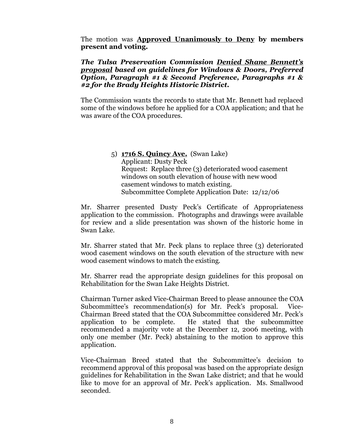The motion was **Approved Unanimously to Deny by members present and voting.**

#### *The Tulsa Preservation Commission Denied Shane Bennett's proposal based on guidelines for Windows & Doors, Preferred Option, Paragraph #1 & Second Preference, Paragraphs #1 & #2 for the Brady Heights Historic District.*

The Commission wants the records to state that Mr. Bennett had replaced some of the windows before he applied for a COA application; and that he was aware of the COA procedures.

> 5) **1716 S. Quincy Ave.** (Swan Lake) Applicant: Dusty Peck Request: Replace three (3) deteriorated wood casement windows on south elevation of house with new wood casement windows to match existing. Subcommittee Complete Application Date: 12/12/06

Mr. Sharrer presented Dusty Peck's Certificate of Appropriateness application to the commission. Photographs and drawings were available for review and a slide presentation was shown of the historic home in Swan Lake.

Mr. Sharrer stated that Mr. Peck plans to replace three (3) deteriorated wood casement windows on the south elevation of the structure with new wood casement windows to match the existing.

Mr. Sharrer read the appropriate design guidelines for this proposal on Rehabilitation for the Swan Lake Heights District.

Chairman Turner asked Vice-Chairman Breed to please announce the COA Subcommittee's recommendation(s) for Mr. Peck's proposal. Vice-Chairman Breed stated that the COA Subcommittee considered Mr. Peck's application to be complete. He stated that the subcommittee recommended a majority vote at the December 12, 2006 meeting, with only one member (Mr. Peck) abstaining to the motion to approve this application.

Vice-Chairman Breed stated that the Subcommittee's decision to recommend approval of this proposal was based on the appropriate design guidelines for Rehabilitation in the Swan Lake district; and that he would like to move for an approval of Mr. Peck's application. Ms. Smallwood seconded.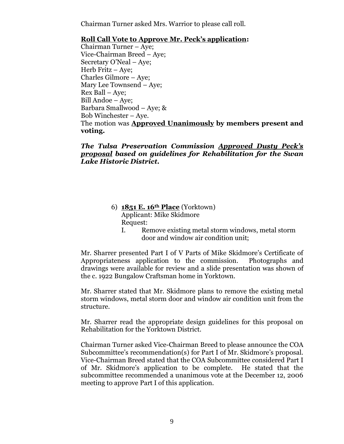Chairman Turner asked Mrs. Warrior to please call roll.

# **Roll Call Vote to Approve Mr. Peck's application:**

Chairman Turner – Aye; Vice-Chairman Breed – Aye; Secretary O'Neal – Aye; Herb Fritz – Aye; Charles Gilmore – Aye; Mary Lee Townsend – Aye; Rex Ball – Aye; Bill Andoe – Aye; Barbara Smallwood – Aye; & Bob Winchester – Aye. The motion was **Approved Unanimously by members present and voting.**

# *The Tulsa Preservation Commission Approved Dusty Peck's proposal based on guidelines for Rehabilitation for the Swan Lake Historic District.*

- 6) **1851 E. 16th Place** (Yorktown) Applicant: Mike Skidmore Request:
	- I. Remove existing metal storm windows, metal storm door and window air condition unit;

Mr. Sharrer presented Part I of V Parts of Mike Skidmore's Certificate of Appropriateness application to the commission. Photographs and drawings were available for review and a slide presentation was shown of the c. 1922 Bungalow Craftsman home in Yorktown.

Mr. Sharrer stated that Mr. Skidmore plans to remove the existing metal storm windows, metal storm door and window air condition unit from the structure.

Mr. Sharrer read the appropriate design guidelines for this proposal on Rehabilitation for the Yorktown District.

Chairman Turner asked Vice-Chairman Breed to please announce the COA Subcommittee's recommendation(s) for Part I of Mr. Skidmore's proposal. Vice-Chairman Breed stated that the COA Subcommittee considered Part I of Mr. Skidmore's application to be complete. He stated that the subcommittee recommended a unanimous vote at the December 12, 2006 meeting to approve Part I of this application.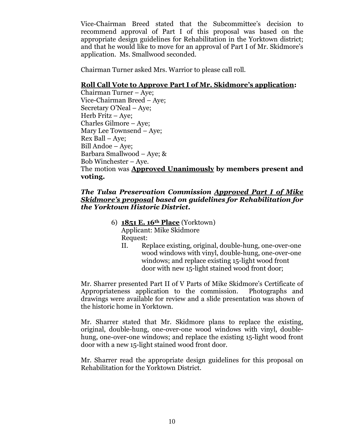Vice-Chairman Breed stated that the Subcommittee's decision to recommend approval of Part I of this proposal was based on the appropriate design guidelines for Rehabilitation in the Yorktown district; and that he would like to move for an approval of Part I of Mr. Skidmore's application. Ms. Smallwood seconded.

Chairman Turner asked Mrs. Warrior to please call roll.

# **Roll Call Vote to Approve Part I of Mr. Skidmore's application:**

Chairman Turner – Aye; Vice-Chairman Breed – Aye; Secretary O'Neal – Aye; Herb Fritz – Aye; Charles Gilmore – Aye; Mary Lee Townsend – Aye; Rex Ball – Aye; Bill Andoe – Aye; Barbara Smallwood – Aye; & Bob Winchester – Aye. The motion was **Approved Unanimously by members present and voting.**

# *The Tulsa Preservation Commission Approved Part I of Mike Skidmore's proposal based on guidelines for Rehabilitation for the Yorktown Historic District.*

- 6) **1851 E. 16th Place** (Yorktown) Applicant: Mike Skidmore Request:
	- II. Replace existing, original, double-hung, one-over-one wood windows with vinyl, double-hung, one-over-one windows; and replace existing 15-light wood front door with new 15-light stained wood front door;

Mr. Sharrer presented Part II of V Parts of Mike Skidmore's Certificate of Appropriateness application to the commission. Photographs and drawings were available for review and a slide presentation was shown of the historic home in Yorktown.

Mr. Sharrer stated that Mr. Skidmore plans to replace the existing, original, double-hung, one-over-one wood windows with vinyl, doublehung, one-over-one windows; and replace the existing 15-light wood front door with a new 15-light stained wood front door.

Mr. Sharrer read the appropriate design guidelines for this proposal on Rehabilitation for the Yorktown District.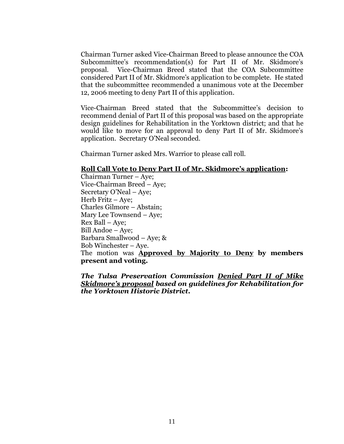Chairman Turner asked Vice-Chairman Breed to please announce the COA Subcommittee's recommendation(s) for Part II of Mr. Skidmore's proposal. Vice-Chairman Breed stated that the COA Subcommittee considered Part II of Mr. Skidmore's application to be complete. He stated that the subcommittee recommended a unanimous vote at the December 12, 2006 meeting to deny Part II of this application.

Vice-Chairman Breed stated that the Subcommittee's decision to recommend denial of Part II of this proposal was based on the appropriate design guidelines for Rehabilitation in the Yorktown district; and that he would like to move for an approval to deny Part II of Mr. Skidmore's application. Secretary O'Neal seconded.

Chairman Turner asked Mrs. Warrior to please call roll.

#### **Roll Call Vote to Deny Part II of Mr. Skidmore's application:**

Chairman Turner – Aye; Vice-Chairman Breed – Aye; Secretary O'Neal – Aye; Herb Fritz – Aye; Charles Gilmore – Abstain; Mary Lee Townsend – Aye; Rex Ball – Aye; Bill Andoe – Aye; Barbara Smallwood – Aye; & Bob Winchester – Aye. The motion was **Approved by Majority to Deny by members present and voting.**

*The Tulsa Preservation Commission Denied Part II of Mike Skidmore's proposal based on guidelines for Rehabilitation for the Yorktown Historic District.*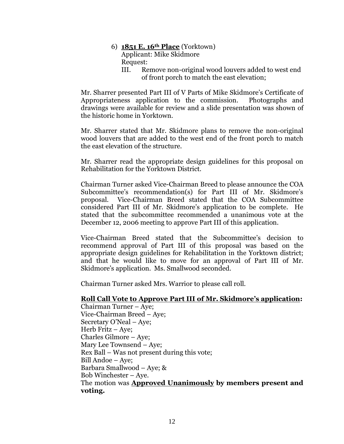- 6) **1851 E. 16th Place** (Yorktown) Applicant: Mike Skidmore Request:
	- III. Remove non-original wood louvers added to west end of front porch to match the east elevation;

Mr. Sharrer presented Part III of V Parts of Mike Skidmore's Certificate of Appropriateness application to the commission. Photographs and drawings were available for review and a slide presentation was shown of the historic home in Yorktown.

Mr. Sharrer stated that Mr. Skidmore plans to remove the non-original wood louvers that are added to the west end of the front porch to match the east elevation of the structure.

Mr. Sharrer read the appropriate design guidelines for this proposal on Rehabilitation for the Yorktown District.

Chairman Turner asked Vice-Chairman Breed to please announce the COA Subcommittee's recommendation(s) for Part III of Mr. Skidmore's proposal. Vice-Chairman Breed stated that the COA Subcommittee considered Part III of Mr. Skidmore's application to be complete. He stated that the subcommittee recommended a unanimous vote at the December 12, 2006 meeting to approve Part III of this application.

Vice-Chairman Breed stated that the Subcommittee's decision to recommend approval of Part III of this proposal was based on the appropriate design guidelines for Rehabilitation in the Yorktown district; and that he would like to move for an approval of Part III of Mr. Skidmore's application. Ms. Smallwood seconded.

Chairman Turner asked Mrs. Warrior to please call roll.

#### **Roll Call Vote to Approve Part III of Mr. Skidmore's application:**

Chairman Turner – Aye; Vice-Chairman Breed – Aye; Secretary O'Neal – Aye; Herb Fritz – Aye; Charles Gilmore – Aye; Mary Lee Townsend – Aye; Rex Ball – Was not present during this vote; Bill Andoe – Aye; Barbara Smallwood – Aye; & Bob Winchester – Aye. The motion was **Approved Unanimously by members present and voting.**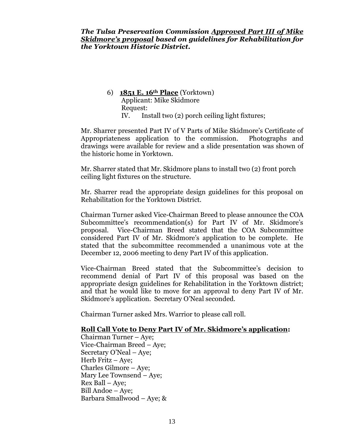6) **1851 E. 16th Place** (Yorktown) Applicant: Mike Skidmore Request: IV. Install two (2) porch ceiling light fixtures;

Mr. Sharrer presented Part IV of V Parts of Mike Skidmore's Certificate of Appropriateness application to the commission. Photographs and drawings were available for review and a slide presentation was shown of the historic home in Yorktown.

Mr. Sharrer stated that Mr. Skidmore plans to install two (2) front porch ceiling light fixtures on the structure.

Mr. Sharrer read the appropriate design guidelines for this proposal on Rehabilitation for the Yorktown District.

Chairman Turner asked Vice-Chairman Breed to please announce the COA Subcommittee's recommendation(s) for Part IV of Mr. Skidmore's proposal. Vice-Chairman Breed stated that the COA Subcommittee considered Part IV of Mr. Skidmore's application to be complete. He stated that the subcommittee recommended a unanimous vote at the December 12, 2006 meeting to deny Part IV of this application.

Vice-Chairman Breed stated that the Subcommittee's decision to recommend denial of Part IV of this proposal was based on the appropriate design guidelines for Rehabilitation in the Yorktown district; and that he would like to move for an approval to deny Part IV of Mr. Skidmore's application. Secretary O'Neal seconded.

Chairman Turner asked Mrs. Warrior to please call roll.

# **Roll Call Vote to Deny Part IV of Mr. Skidmore's application:**

Chairman Turner – Aye; Vice-Chairman Breed – Aye; Secretary O'Neal – Aye; Herb Fritz – Aye; Charles Gilmore – Aye; Mary Lee Townsend – Aye; Rex Ball – Aye; Bill Andoe – Aye; Barbara Smallwood – Aye; &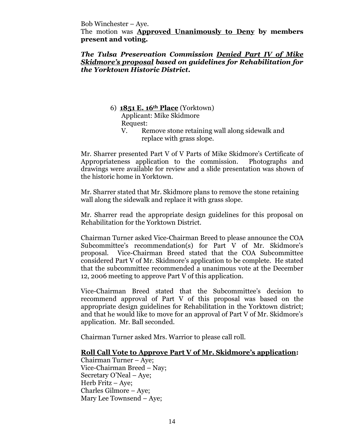Bob Winchester – Aye.

The motion was **Approved Unanimously to Deny by members present and voting.**

*The Tulsa Preservation Commission Denied Part IV of Mike Skidmore's proposal based on guidelines for Rehabilitation for the Yorktown Historic District.*

6) **1851 E. 16th Place** (Yorktown)

Applicant: Mike Skidmore Request:

V. Remove stone retaining wall along sidewalk and replace with grass slope.

Mr. Sharrer presented Part V of V Parts of Mike Skidmore's Certificate of Appropriateness application to the commission. Photographs and drawings were available for review and a slide presentation was shown of the historic home in Yorktown.

Mr. Sharrer stated that Mr. Skidmore plans to remove the stone retaining wall along the sidewalk and replace it with grass slope.

Mr. Sharrer read the appropriate design guidelines for this proposal on Rehabilitation for the Yorktown District.

Chairman Turner asked Vice-Chairman Breed to please announce the COA Subcommittee's recommendation(s) for Part V of Mr. Skidmore's proposal. Vice-Chairman Breed stated that the COA Subcommittee considered Part V of Mr. Skidmore's application to be complete. He stated that the subcommittee recommended a unanimous vote at the December 12, 2006 meeting to approve Part V of this application.

Vice-Chairman Breed stated that the Subcommittee's decision to recommend approval of Part V of this proposal was based on the appropriate design guidelines for Rehabilitation in the Yorktown district; and that he would like to move for an approval of Part V of Mr. Skidmore's application. Mr. Ball seconded.

Chairman Turner asked Mrs. Warrior to please call roll.

# **Roll Call Vote to Approve Part V of Mr. Skidmore's application:**

Chairman Turner – Aye; Vice-Chairman Breed –Nay; Secretary O'Neal – Aye; Herb Fritz – Aye; Charles Gilmore – Aye; Mary Lee Townsend – Aye;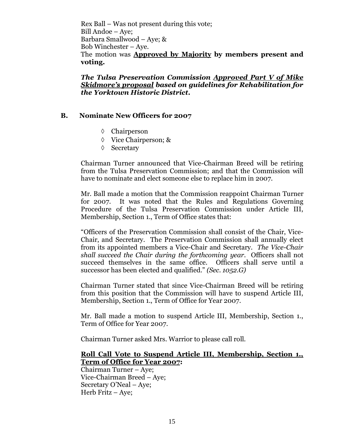Rex Ball – Was not present during this vote; Bill Andoe – Aye; Barbara Smallwood – Aye; & Bob Winchester – Aye. The motion was **Approved by Majority by members present and voting.**

*The Tulsa Preservation Commission Approved Part V of Mike Skidmore's proposal based on guidelines for Rehabilitation for the Yorktown Historic District.*

# **B. Nominate New Officers for 2007**

- Chairperson
- Vice Chairperson; &
- ♦ Secretary

Chairman Turner announced that Vice-Chairman Breed will be retiring from the Tulsa Preservation Commission; and that the Commission will have to nominate and elect someone else to replace him in 2007.

Mr. Ball made a motion that the Commission reappoint Chairman Turner for 2007. It was noted that the Rules and Regulations Governing Procedure of the Tulsa Preservation Commission under Article III, Membership, Section 1., Term of Office states that:

"Officers of the Preservation Commission shall consist of the Chair, Vice-Chair, and Secretary. The Preservation Commission shall annually elect from its appointed members a Vice-Chair and Secretary. *The Vice-Chair shall succeed the Chair during the forthcoming year.* Officers shall not succeed themselves in the same office. Officers shall serve until a successor has been elected and qualified."*(Sec. 1052.G)*

Chairman Turner stated that since Vice-Chairman Breed will be retiring from this position that the Commission will have to suspend Article III, Membership, Section 1., Term of Office for Year 2007.

Mr. Ball made a motion to suspend Article III, Membership, Section 1., Term of Office for Year 2007.

Chairman Turner asked Mrs. Warrior to please call roll.

# **Roll Call Vote to Suspend Article III, Membership, Section 1., Term of Office for Year 2007:**

Chairman Turner – Aye; Vice-Chairman Breed –Aye; Secretary O'Neal – Aye; Herb Fritz – Aye;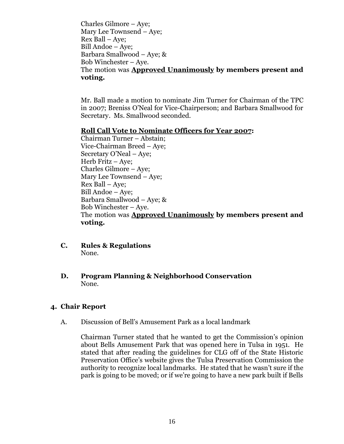Charles Gilmore – Aye; Mary Lee Townsend – Aye; Rex Ball –Aye; Bill Andoe – Aye; Barbara Smallwood – Aye; & Bob Winchester – Aye. The motion was **Approved Unanimously by members present and voting.**

Mr. Ball made a motion to nominate Jim Turner for Chairman of the TPC in 2007; Breniss O'Neal for Vice-Chairperson; and Barbara Smallwood for Secretary. Ms. Smallwood seconded.

#### **Roll Call Vote to Nominate Officers for Year 2007:**

Chairman Turner – Abstain; Vice-Chairman Breed –Aye; Secretary O'Neal – Aye; Herb Fritz – Aye; Charles Gilmore – Aye; Mary Lee Townsend – Aye; Rex Ball – Aye; Bill Andoe – Aye; Barbara Smallwood – Aye; & Bob Winchester – Aye. The motion was **Approved Unanimously by members present and voting.**

- **C. Rules & Regulations** None.
- **D. Program Planning & Neighborhood Conservation** None.

#### **4. Chair Report**

A. Discussion of Bell's Amusement Park as a local landmark

Chairman Turner stated that he wanted to get the Commission's opinion about Bells Amusement Park that was opened here in Tulsa in 1951. He stated that after reading the guidelines for CLG off of the State Historic Preservation Office's website gives the Tulsa Preservation Commission the authority to recognize local landmarks. He stated that he wasn't sure if the park is going to be moved; or if we're going to have a new park built if Bells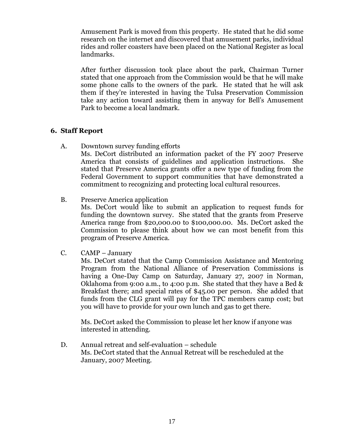Amusement Park is moved from this property. He stated that he did some research on the internet and discovered that amusement parks, individual rides and roller coasters have been placed on the National Register as local landmarks.

After further discussion took place about the park, Chairman Turner stated that one approach from the Commission would be that he will make some phone calls to the owners of the park. He stated that he will ask them if they're interested in having the Tulsa Preservation Commission take any action toward assisting them in anyway for Bell's Amusement Park to become a local landmark.

# **6. Staff Report**

A. Downtown survey funding efforts

Ms. DeCort distributed an information packet of the FY 2007 Preserve America that consists of guidelines and application instructions. She stated that Preserve America grants offer a new type of funding from the Federal Government to support communities that have demonstrated a commitment to recognizing and protecting local cultural resources.

B. Preserve America application

Ms. DeCort would like to submit an application to request funds for funding the downtown survey. She stated that the grants from Preserve America range from \$20,000.00 to \$100,000.00. Ms. DeCort asked the Commission to please think about how we can most benefit from this program of Preserve America.

C. CAMP – January

Ms. DeCort stated that the Camp Commission Assistance and Mentoring Program from the National Alliance of Preservation Commissions is having a One-Day Camp on Saturday, January 27, 2007 in Norman, Oklahoma from 9:00 a.m., to 4:00 p.m. She stated that they have a Bed & Breakfast there; and special rates of \$45.00 per person. She added that funds from the CLG grant will pay for the TPC members camp cost; but you will have to provide for your own lunch and gas to get there.

Ms. DeCort asked the Commission to please let her know if anyone was interested in attending.

D. Annual retreat and self-evaluation – schedule Ms. DeCort stated that the Annual Retreat will be rescheduled at the January, 2007 Meeting.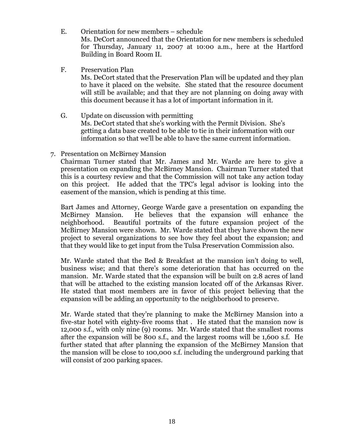- E. Orientation for new members schedule Ms. DeCort announced that the Orientation for new members is scheduled for Thursday, January 11, 2007 at 10:00 a.m., here at the Hartford Building in Board Room II.
- F. Preservation Plan Ms. DeCort stated that the Preservation Plan will be updated and they plan to have it placed on the website. She stated that the resource document will still be available; and that they are not planning on doing away with this document because it has a lot of important information in it.
- G. Update on discussion with permitting Ms. DeCort stated that she's working with the Permit Division. She's getting a data base created to be able to tie in their information with our information so that we'll be able to have the same current information.
- 7. Presentation on McBirney Mansion

Chairman Turner stated that Mr. James and Mr. Warde are here to give a presentation on expanding the McBirney Mansion. Chairman Turner stated that this is a courtesy review and that the Commission will not take any action today on this project. He added that the TPC's legal advisor is looking into the easement of the mansion, which is pending at this time.

Bart James and Attorney, George Warde gave a presentation on expanding the McBirney Mansion. He believes that the expansion will enhance the neighborhood. Beautiful portraits of the future expansion project of the McBirney Mansion were shown. Mr. Warde stated that they have shown the new project to several organizations to see how they feel about the expansion; and that they would like to get input from the Tulsa Preservation Commission also.

Mr. Warde stated that the Bed & Breakfast at the mansion isn't doing to well, business wise; and that there's some deterioration that has occurred on the mansion. Mr. Warde stated that the expansion will be built on 2.8 acres of land that will be attached to the existing mansion located off of the Arkansas River. He stated that most members are in favor of this project believing that the expansion will be adding an opportunity to the neighborhood to preserve.

Mr. Warde stated that they're planning to make the McBirney Mansion into a five-star hotel with eighty-five rooms that . He stated that the mansion now is 12,000 s.f., with only nine (9) rooms. Mr. Warde stated that the smallest rooms after the expansion will be 800 s.f., and the largest rooms will be 1,600 s.f. He further stated that after planning the expansion of the McBirney Mansion that the mansion will be close to 100,000 s.f. including the underground parking that will consist of 200 parking spaces.